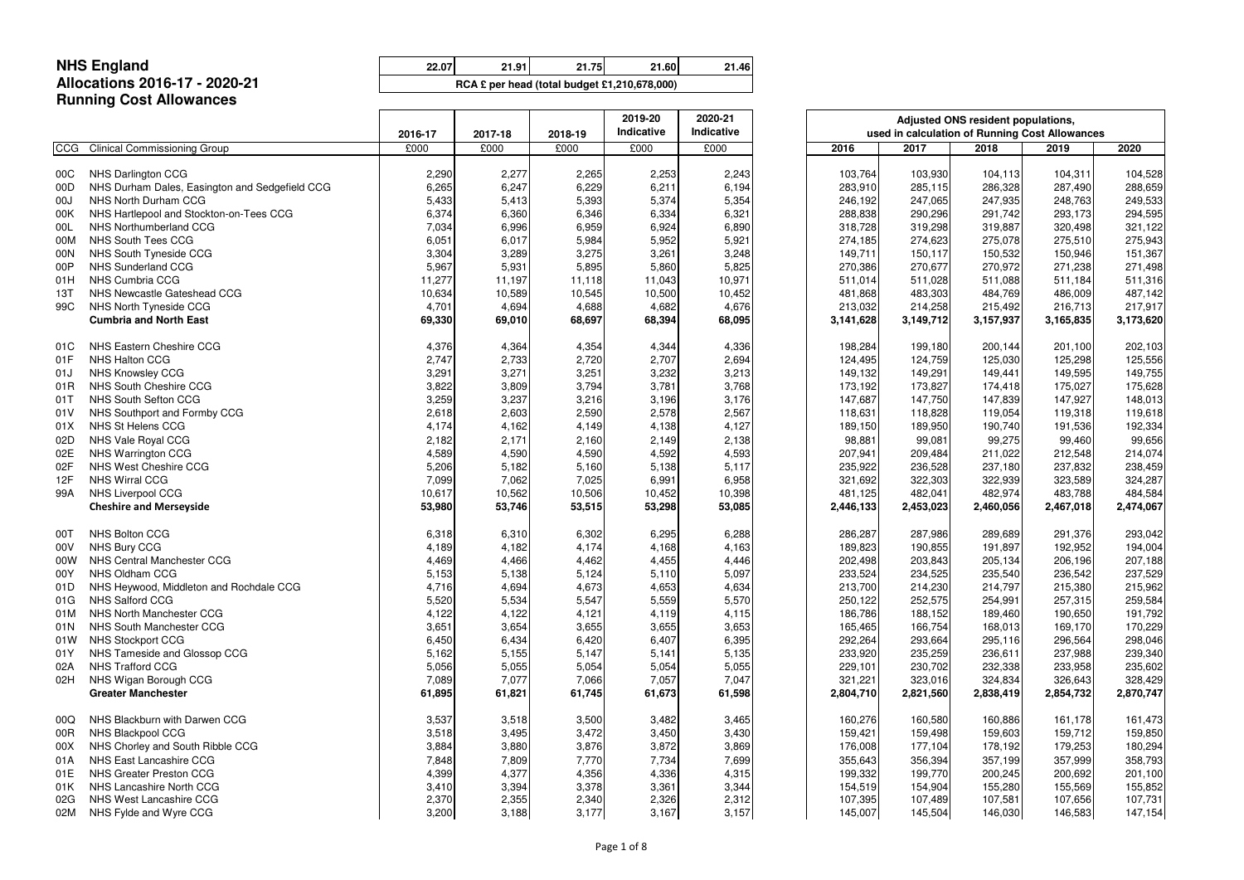**22.07 21.91 21.75 21.60 21.46 54,862,209 55,256,765 55,653,923 56,040,323 56,424,001**

#### **NHS EnglandAllocations 2016-17 - 2020-21Running Cost Allowances**

|            | .                                              | 2016-17 | 2017-18 | 2018-19 | 2019-20<br>Indicative | 2020-21<br>Indicative |           | used in calculation of Running Cost Allowances | Adjusted ONS resident populations, |           |           |
|------------|------------------------------------------------|---------|---------|---------|-----------------------|-----------------------|-----------|------------------------------------------------|------------------------------------|-----------|-----------|
| <b>CCG</b> | <b>Clinical Commissioning Group</b>            | £000    | £000    | £000    | £000                  | £000                  | 2016      | 2017                                           | 2018                               | 2019      | 2020      |
| 00C        | <b>NHS Darlington CCG</b>                      | 2,290   | 2,277   | 2,265   | 2,253                 | 2,243                 | 103,764   | 103,930                                        | 104,113                            | 104,311   | 104,528   |
| 00D        | NHS Durham Dales, Easington and Sedgefield CCG | 6,265   | 6,247   | 6,229   | 6,211                 | 6,194                 | 283,910   | 285,115                                        | 286,328                            | 287,490   | 288,659   |
| 00J        | NHS North Durham CCG                           | 5,433   | 5,413   | 5,393   | 5,374                 | 5,354                 | 246,192   | 247,065                                        | 247,935                            | 248,763   | 249,533   |
| 00K        | NHS Hartlepool and Stockton-on-Tees CCG        | 6,374   | 6,360   | 6,346   | 6,334                 | 6,321                 | 288,838   | 290,296                                        | 291,742                            | 293,173   | 294,595   |
| 00L        | NHS Northumberland CCG                         | 7,034   | 6,996   | 6,959   | 6,924                 | 6,890                 | 318,728   | 319,298                                        | 319,887                            | 320,498   | 321,122   |
| 00M        | NHS South Tees CCG                             | 6,051   | 6,017   | 5,984   | 5,952                 | 5,921                 | 274,185   | 274,623                                        | 275,078                            | 275,510   | 275,943   |
| 00N        | NHS South Tyneside CCG                         | 3,304   | 3,289   | 3,275   | 3,261                 | 3,248                 | 149,711   | 150,117                                        | 150,532                            | 150,946   | 151,367   |
| 00P        | NHS Sunderland CCG                             | 5,967   | 5,931   | 5,895   | 5,860                 | 5,825                 | 270,386   | 270,677                                        | 270,972                            | 271,238   | 271,498   |
| 01H        | NHS Cumbria CCG                                | 11,277  | 11,197  | 11,118  | 11,043                | 10,971                | 511,014   | 511,028                                        | 511,088                            | 511,184   | 511,316   |
| 13T        | NHS Newcastle Gateshead CCG                    | 10,634  | 10,589  | 10,545  | 10,500                | 10,452                | 481,868   | 483,303                                        | 484,769                            | 486,009   | 487,142   |
| 99C        | NHS North Tyneside CCG                         | 4,701   | 4,694   | 4,688   | 4,682                 | 4,676                 | 213,032   | 214,258                                        | 215,492                            | 216,713   | 217,917   |
|            | <b>Cumbria and North East</b>                  | 69,330  | 69,010  | 68,697  | 68,394                | 68,095                | 3,141,628 | 3,149,712                                      | 3,157,937                          | 3,165,835 | 3,173,620 |
| 01C        | NHS Eastern Cheshire CCG                       | 4,376   | 4,364   | 4,354   | 4,344                 | 4,336                 | 198,284   | 199,180                                        | 200,144                            | 201,100   | 202,103   |
| 01F        | NHS Halton CCG                                 | 2,747   | 2,733   | 2,720   | 2,707                 | 2,694                 | 124,495   | 124,759                                        | 125,030                            | 125,298   | 125,556   |
| 01J        | <b>NHS Knowsley CCG</b>                        | 3,291   | 3,271   | 3,251   | 3,232                 | 3,213                 | 149,132   | 149,291                                        | 149,441                            | 149,595   | 149,755   |
| 01R        | NHS South Cheshire CCG                         | 3,822   | 3,809   | 3,794   | 3,781                 | 3,768                 | 173,192   | 173,827                                        | 174,418                            | 175,027   | 175,628   |
| 01T        | NHS South Sefton CCG                           | 3,259   | 3,237   | 3,216   | 3,196                 | 3,176                 | 147,687   | 147,750                                        | 147,839                            | 147,927   | 148,013   |
| 01V        | NHS Southport and Formby CCG                   | 2,618   | 2,603   | 2,590   | 2,578                 | 2,567                 | 118,631   | 118,828                                        | 119,054                            | 119,318   | 119,618   |
| 01X        | NHS St Helens CCG                              | 4,174   | 4,162   | 4,149   | 4,138                 | 4,127                 | 189,150   | 189,950                                        | 190,740                            | 191,536   | 192,334   |
| 02D        | NHS Vale Royal CCG                             | 2,182   | 2,171   | 2,160   | 2,149                 | 2,138                 | 98,881    | 99,081                                         | 99,275                             | 99,460    | 99,656    |
| 02E        | NHS Warrington CCG                             | 4,589   | 4,590   | 4,590   | 4,592                 | 4,593                 | 207,941   | 209,484                                        | 211,022                            | 212,548   | 214,074   |
| 02F        | NHS West Cheshire CCG                          | 5,206   | 5,182   | 5,160   | 5,138                 | 5,117                 | 235,922   | 236,528                                        | 237,180                            | 237,832   | 238,459   |
| 12F        | <b>NHS Wirral CCG</b>                          | 7,099   | 7,062   | 7,025   | 6,991                 | 6,958                 | 321,692   | 322,303                                        | 322,939                            | 323,589   | 324,287   |
| 99A        | NHS Liverpool CCG                              | 10,617  | 10,562  | 10,506  | 10,452                | 10,398                | 481,125   | 482,041                                        | 482,974                            | 483,788   | 484,584   |
|            | <b>Cheshire and Merseyside</b>                 | 53,980  | 53,746  | 53,515  | 53,298                | 53,085                | 2,446,133 | 2,453,023                                      | 2,460,056                          | 2,467,018 | 2,474,067 |
| 00T        | <b>NHS Bolton CCG</b>                          | 6,318   | 6,310   | 6,302   | 6,295                 | 6,288                 | 286,287   | 287,986                                        | 289,689                            | 291,376   | 293,042   |
| 00V        | <b>NHS Bury CCG</b>                            | 4,189   | 4,182   | 4,174   | 4,168                 | 4,163                 | 189,823   | 190,855                                        | 191,897                            | 192,952   | 194,004   |
| 00W        | NHS Central Manchester CCG                     | 4,469   | 4,466   | 4,462   | 4,455                 | 4,446                 | 202,498   | 203,843                                        | 205,134                            | 206,196   | 207,188   |
| 00Y        | NHS Oldham CCG                                 | 5,153   | 5,138   | 5,124   | 5,110                 | 5,097                 | 233,524   | 234,525                                        | 235,540                            | 236,542   | 237,529   |
| 01D        | NHS Heywood, Middleton and Rochdale CCG        | 4,716   | 4,694   | 4,673   | 4,653                 | 4,634                 | 213,700   | 214,230                                        | 214,797                            | 215,380   | 215,962   |
| 01G        | <b>NHS Salford CCG</b>                         | 5,520   | 5,534   | 5,547   | 5,559                 | 5,570                 | 250,122   | 252,575                                        | 254,991                            | 257,315   | 259,584   |
| 01M        | NHS North Manchester CCG                       | 4,122   | 4,122   | 4,121   | 4,119                 | 4,115                 | 186,786   | 188,152                                        | 189,460                            | 190,650   | 191,792   |
| 01N        | NHS South Manchester CCG                       | 3,651   | 3,654   | 3,655   | 3,655                 | 3,653                 | 165,465   | 166,754                                        | 168,013                            | 169,170   | 170,229   |
| 01W        | <b>NHS Stockport CCG</b>                       | 6,450   | 6,434   | 6,420   | 6,407                 | 6,395                 | 292,264   | 293,664                                        | 295,116                            | 296,564   | 298,046   |
| 01Y        | NHS Tameside and Glossop CCG                   | 5,162   | 5,155   | 5,147   | 5,141                 | 5,135                 | 233,920   | 235,259                                        | 236,611                            | 237,988   | 239,340   |
| 02A        | <b>NHS Trafford CCG</b>                        | 5,056   | 5,055   | 5,054   | 5,054                 | 5,055                 | 229,101   | 230,702                                        | 232,338                            | 233,958   | 235,602   |
| 02H        | NHS Wigan Borough CCG                          | 7,089   | 7,077   | 7,066   | 7,057                 | 7,047                 | 321,221   | 323,016                                        | 324,834                            | 326,643   | 328,429   |
|            | <b>Greater Manchester</b>                      | 61,895  | 61,821  | 61,745  | 61,673                | 61,598                | 2,804,710 | 2,821,560                                      | 2,838,419                          | 2,854,732 | 2,870,747 |
| 00Q        | NHS Blackburn with Darwen CCG                  | 3,537   | 3,518   | 3,500   | 3,482                 | 3,465                 | 160,276   | 160,580                                        | 160,886                            | 161,178   | 161,473   |
| 00R        | NHS Blackpool CCG                              | 3,518   | 3,495   | 3,472   | 3,450                 | 3,430                 | 159,421   | 159,498                                        | 159,603                            | 159,712   | 159,850   |
| 00X        | NHS Chorley and South Ribble CCG               | 3,884   | 3,880   | 3,876   | 3,872                 | 3,869                 | 176,008   | 177,104                                        | 178,192                            | 179,253   | 180,294   |
| 01A        | NHS East Lancashire CCG                        | 7,848   | 7,809   | 7,770   | 7,734                 | 7,699                 | 355,643   | 356,394                                        | 357,199                            | 357,999   | 358,793   |
| 01E        | NHS Greater Preston CCG                        | 4,399   | 4,377   | 4,356   | 4,336                 | 4,315                 | 199,332   | 199,770                                        | 200,245                            | 200,692   | 201,100   |
| 01K        | NHS Lancashire North CCG                       | 3,410   | 3,394   | 3,378   | 3,361                 | 3,344                 | 154,519   | 154,904                                        | 155,280                            | 155,569   | 155,852   |
| 02G        | NHS West Lancashire CCG                        | 2,370   | 2,355   | 2,340   | 2,326                 | 2,312                 | 107,395   | 107,489                                        | 107,581                            | 107,656   | 107,731   |
| 02M        | NHS Fylde and Wyre CCG                         | 3,200   | 3,188   | 3,177   | 3,167                 | 3,157                 | 145,007   | 145,504                                        | 146,030                            | 146,583   | 147,154   |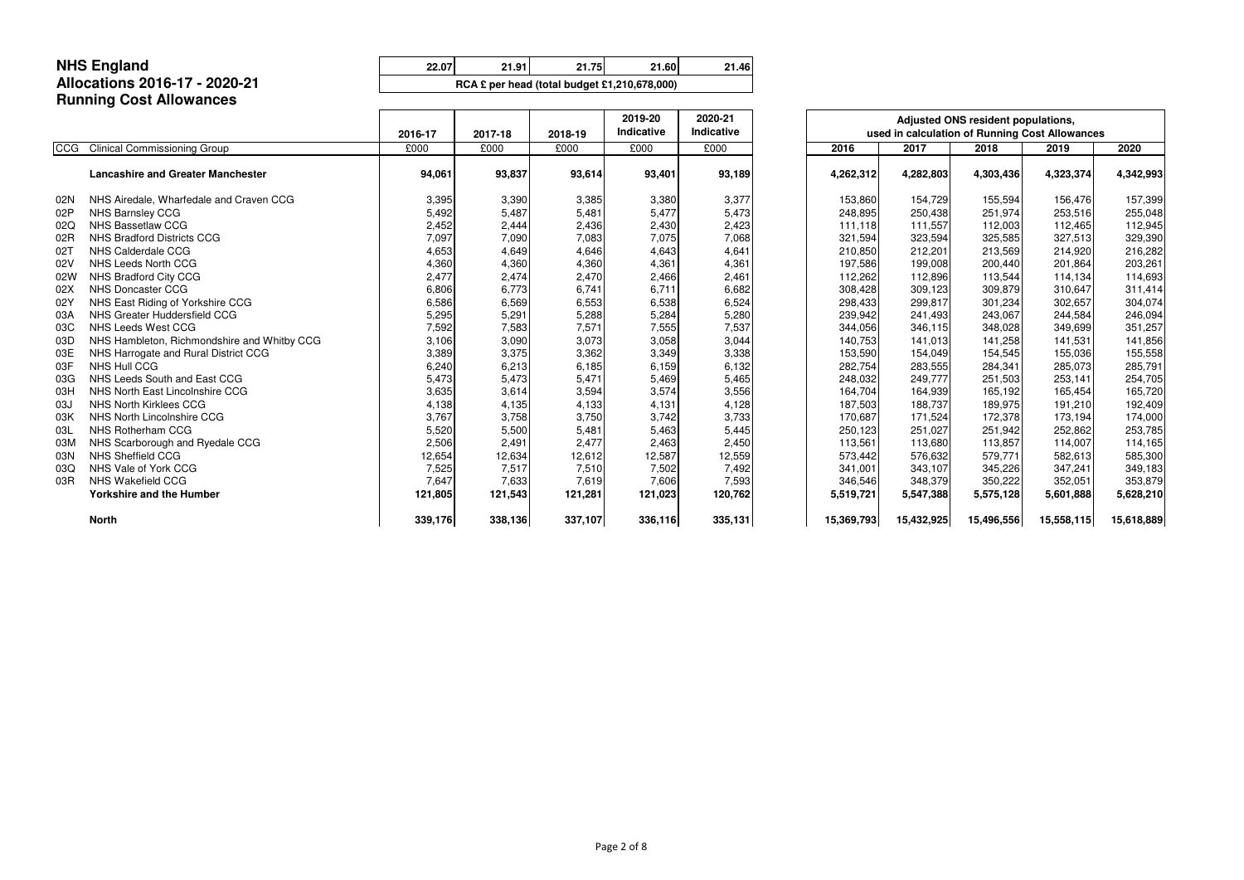**22.07 21.91 21.75 21.60 21.46 54,862,209 55,256,765 55,653,923 56,040,323 56,424,001**

#### **NHS EnglandAllocations 2016-17 - 2020-21Running Cost Allowances**

|            |                                             |         |         |         | 2019-20    | 2020-21    |            | Adjusted ONS resident populations,             |            |            |            |  |
|------------|---------------------------------------------|---------|---------|---------|------------|------------|------------|------------------------------------------------|------------|------------|------------|--|
|            |                                             | 2016-17 | 2017-18 | 2018-19 | Indicative | Indicative |            | used in calculation of Running Cost Allowances |            |            |            |  |
| <b>CCG</b> | <b>Clinical Commissioning Group</b>         | £000    | £000    | £000    | £000       | £000       | 2016       | 2017                                           | 2018       | 2019       | 2020       |  |
|            | <b>Lancashire and Greater Manchester</b>    | 94,061  | 93,837  | 93,614  | 93,401     | 93,189     | 4,262,312  | 4,282,803                                      | 4,303,436  | 4,323,374  | 4,342,993  |  |
| 02N        | NHS Airedale, Wharfedale and Craven CCG     | 3,395   | 3,390   | 3,385   | 3,380      | 3,377      | 153,860    | 154,729                                        | 155,594    | 156,476    | 157,399    |  |
| 02P        | NHS Barnsley CCG                            | 5,492   | 5,487   | 5,481   | 5,477      | 5,473      | 248,895    | 250,438                                        | 251,974    | 253,516    | 255,048    |  |
| 02Q        | <b>NHS Bassetlaw CCG</b>                    | 2,452   | 2,444   | 2,436   | 2,430      | 2,423      | 111,118    | 111,557                                        | 112,003    | 112,465    | 112,945    |  |
| 02R        | <b>NHS Bradford Districts CCG</b>           | 7,097   | 7,090   | 7,083   | 7,075      | 7,068      | 321,594    | 323,594                                        | 325,585    | 327,513    | 329,390    |  |
| 027        | NHS Calderdale CCG                          | 4,653   | 4,649   | 4,646   | 4,643      | 4,641      | 210,850    | 212,201                                        | 213,569    | 214,920    | 216,282    |  |
| 02V        | NHS Leeds North CCG                         | 4,360   | 4,360   | 4,360   | 4,361      | 4,361      | 197,586    | 199,008                                        | 200,440    | 201,864    | 203,261    |  |
| 02W        | NHS Bradford City CCG                       | 2,477   | 2,474   | 2,470   | 2,466      | 2,461      | 112,262    | 112,896                                        | 113,544    | 114,134    | 114,693    |  |
| 02X        | <b>NHS Doncaster CCG</b>                    | 6,806   | 6,773   | 6,741   | 6,711      | 6,682      | 308,428    | 309,123                                        | 309,879    | 310,647    | 311,414    |  |
| 02Y        | NHS East Riding of Yorkshire CCG            | 6,586   | 6,569   | 6,553   | 6,538      | 6,524      | 298,433    | 299,817                                        | 301,234    | 302,657    | 304,074    |  |
| 03A        | NHS Greater Huddersfield CCG                | 5,295   | 5,291   | 5,288   | 5,284      | 5,280      | 239,942    | 241,493                                        | 243,067    | 244,584    | 246,094    |  |
| 03C        | NHS Leeds West CCG                          | 7,592   | 7,583   | 7,571   | 7,555      | 7,537      | 344,056    | 346,115                                        | 348,028    | 349,699    | 351,257    |  |
| 03D        | NHS Hambleton, Richmondshire and Whitby CCG | 3,106   | 3,090   | 3,073   | 3,058      | 3,044      | 140,753    | 141,013                                        | 141,258    | 141,531    | 141,856    |  |
| 03E        | NHS Harrogate and Rural District CCG        | 3,389   | 3,375   | 3,362   | 3,349      | 3,338      | 153,590    | 154,049                                        | 154,545    | 155,036    | 155,558    |  |
| 03F        | <b>NHS Hull CCG</b>                         | 6,240   | 6,213   | 6,185   | 6,159      | 6,132      | 282,754    | 283,555                                        | 284,341    | 285,073    | 285,791    |  |
| 03G        | NHS Leeds South and East CCG                | 5,473   | 5,473   | 5,471   | 5,469      | 5,465      | 248,032    | 249,777                                        | 251,503    | 253,141    | 254,705    |  |
| 03H        | NHS North East Lincolnshire CCG             | 3,635   | 3,614   | 3,594   | 3,574      | 3,556      | 164,704    | 164,939                                        | 165,192    | 165,454    | 165,720    |  |
| 03J        | <b>NHS North Kirklees CCG</b>               | 4,138   | 4,135   | 4,133   | 4,131      | 4,128      | 187,503    | 188,737                                        | 189,975    | 191,210    | 192,409    |  |
| 03K        | NHS North Lincolnshire CCG                  | 3,767   | 3,758   | 3,750   | 3,742      | 3,733      | 170,687    | 171,524                                        | 172,378    | 173,194    | 174,000    |  |
| 03L        | NHS Rotherham CCG                           | 5,520   | 5,500   | 5,481   | 5,463      | 5,445      | 250,123    | 251,027                                        | 251,942    | 252,862    | 253,785    |  |
| 03M        | NHS Scarborough and Ryedale CCG             | 2,506   | 2,491   | 2,477   | 2,463      | 2,450      | 113,561    | 113,680                                        | 113,857    | 114,007    | 114,165    |  |
| 03N        | NHS Sheffield CCG                           | 12,654  | 12,634  | 12,612  | 12,587     | 12,559     | 573,442    | 576,632                                        | 579,771    | 582,613    | 585,300    |  |
| 03Q        | NHS Vale of York CCG                        | 7,525   | 7,517   | 7,510   | 7,502      | 7,492      | 341,001    | 343,107                                        | 345,226    | 347,241    | 349,183    |  |
| 03R        | NHS Wakefield CCG                           | 7,647   | 7,633   | 7,619   | 7,606      | 7,593      | 346,546    | 348,379                                        | 350,222    | 352,051    | 353,879    |  |
|            | <b>Yorkshire and the Humber</b>             | 121,805 | 121,543 | 121,281 | 121,023    | 120,762    | 5,519,721  | 5,547,388                                      | 5,575,128  | 5,601,888  | 5,628,210  |  |
|            | <b>North</b>                                | 339,176 | 338,136 | 337,107 | 336,116    | 335,131    | 15,369,793 | 15,432,925                                     | 15,496,556 | 15,558,115 | 15,618,889 |  |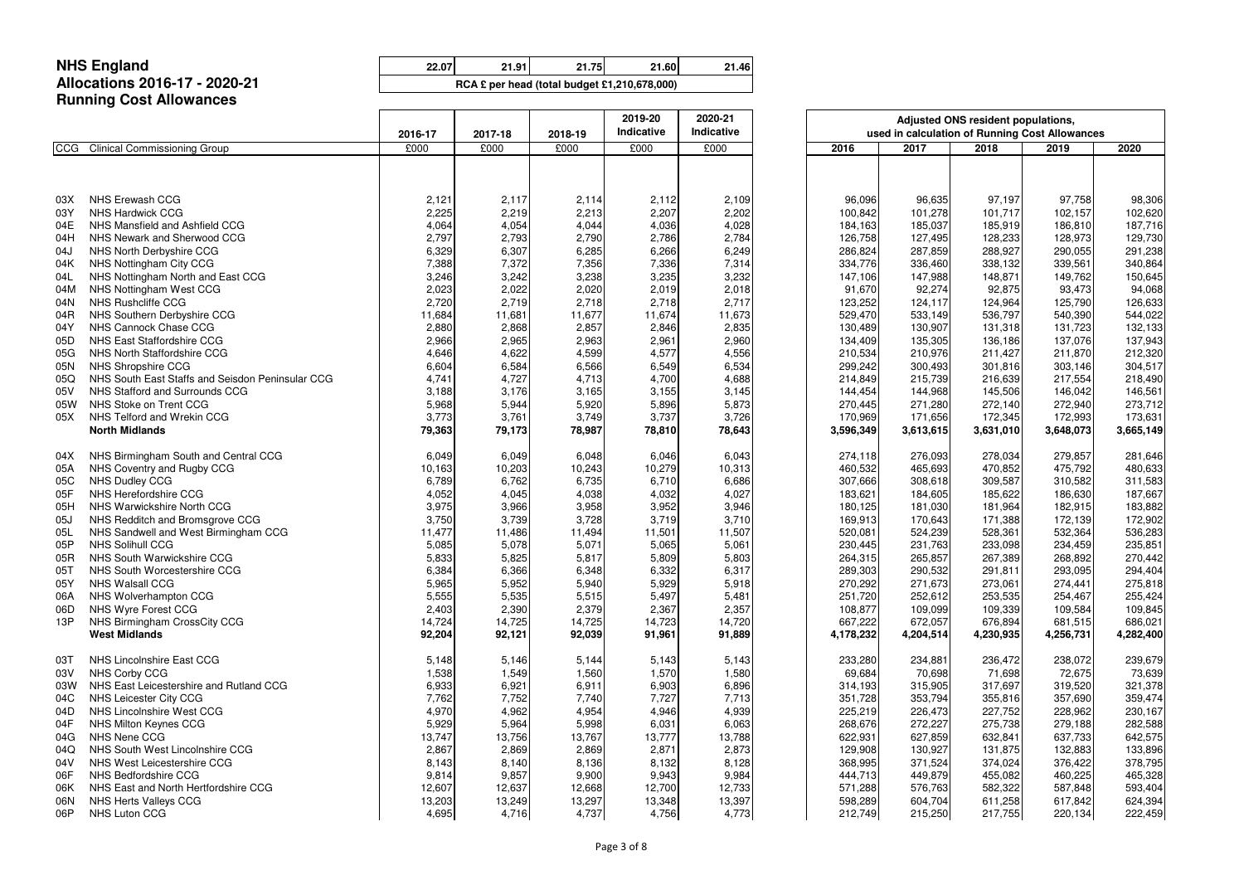### **Allocations 2016-17 - 2020-21Running Cost Allowances**

NHS England<br>
22.07 21.91 21.75 21.60 21.46

|            |                                                  | 2016-17        | 2017-18        | 2018-19        | 2019-20<br>Indicative | 2020-21<br>Indicative |                    | used in calculation of Running Cost Allowances | Adjusted ONS resident populations, |                    |                    |
|------------|--------------------------------------------------|----------------|----------------|----------------|-----------------------|-----------------------|--------------------|------------------------------------------------|------------------------------------|--------------------|--------------------|
| <b>CCG</b> | <b>Clinical Commissioning Group</b>              | £000           | £000           | £000           | £000                  | £000                  | 2016               | 2017                                           | 2018                               | 2019               | 2020               |
|            |                                                  |                |                |                |                       |                       |                    |                                                |                                    |                    |                    |
| 03X        | <b>NHS Erewash CCG</b>                           | 2,121          | 2,117          | 2,114          | 2,112                 | 2,109                 | 96,096             | 96,635                                         | 97,197                             | 97,758             | 98,306             |
| 03Y        | <b>NHS Hardwick CCG</b>                          | 2,225          | 2,219          | 2,213          | 2,207                 | 2,202                 | 100,842            | 101,278                                        | 101,717                            | 102,157            | 102,620            |
| 04E        | NHS Mansfield and Ashfield CCG                   | 4,064          | 4,054          | 4,044          | 4,036                 | 4,028                 | 184,163            | 185,037                                        | 185,919                            | 186,810            | 187,716            |
| 04H        | NHS Newark and Sherwood CCG                      | 2,797          | 2,793          | 2,790          | 2,786                 | 2,784                 | 126,758            | 127,495                                        | 128,233                            | 128,973            | 129,730            |
| 04J        | NHS North Derbyshire CCG                         | 6,329          | 6,307          | 6,285          | 6,266                 | 6,249                 | 286,824            | 287,859                                        | 288,927                            | 290,055            | 291,238            |
| 04K        | NHS Nottingham City CCG                          | 7,388          | 7,372          | 7,356          | 7,336                 | 7,314                 | 334,776            | 336,460                                        | 338,132                            | 339,561            | 340,864            |
| 04L        | NHS Nottingham North and East CCG                | 3,246          | 3,242          | 3,238          | 3,235                 | 3,232                 | 147,106            | 147,988                                        | 148,871                            | 149,762            | 150,645            |
| 04M        | NHS Nottingham West CCG                          | 2,023          | 2,022          | 2,020          | 2,019                 | 2,018                 | 91,670             | 92,274                                         | 92,875                             | 93,473             | 94,068             |
| 04N        | NHS Rushcliffe CCG                               | 2,720          | 2,719          | 2,718          | 2,718                 | 2,717                 | 123,252            | 124,117                                        | 124,964                            | 125,790            | 126,633            |
| 04R        | NHS Southern Derbyshire CCG                      | 11,684         | 11,681         | 11,677         | 11,674                | 11,673                | 529,470            | 533,149                                        | 536,797                            | 540,390            | 544,022            |
| 04Y        | NHS Cannock Chase CCG                            | 2,880          | 2,868          | 2,857          | 2,846                 | 2,835                 | 130,489            | 130,907                                        | 131,318                            | 131,723            | 132,133            |
| 05D        | NHS East Staffordshire CCG                       | 2,966          | 2,965          | 2,963          | 2,961                 | 2,960                 | 134,409            | 135,305                                        | 136,186                            | 137,076            | 137,943            |
| 05G        | NHS North Staffordshire CCG                      | 4,646          | 4,622          | 4,599          | 4,577                 | 4,556                 | 210,534            | 210,976                                        | 211,427                            | 211,870            | 212,320            |
| 05N        | NHS Shropshire CCG                               | 6,604          | 6,584          | 6,566          | 6,549                 | 6,534                 | 299,242            | 300,493                                        | 301,816                            | 303,146            | 304,517            |
| 05Q        | NHS South East Staffs and Seisdon Peninsular CCG | 4,741          | 4,727          | 4,713          | 4,700                 | 4,688                 | 214,849            | 215,739                                        | 216,639                            | 217,554            | 218,490            |
| 05V        | NHS Stafford and Surrounds CCG                   | 3,188          | 3,176          | 3,165          | 3,155                 | 3,145                 | 144,454            | 144,968                                        | 145,506                            | 146,042            | 146,561            |
| 05W        | NHS Stoke on Trent CCG                           | 5,968          | 5,944          | 5,920          | 5,896                 | 5,873                 | 270,445            | 271,280                                        | 272,140                            | 272,940            | 273,712            |
| 05X        | NHS Telford and Wrekin CCG                       | 3,773          | 3,761          | 3,749          | 3,737                 | 3,726                 | 170,969            | 171,656                                        | 172,345                            | 172,993            | 173,631            |
|            | <b>North Midlands</b>                            | 79,363         | 79,173         | 78,987         | 78,810                | 78,643                | 3,596,349          | 3,613,615                                      | 3,631,010                          | 3,648,073          | 3,665,149          |
| 04X        | NHS Birmingham South and Central CCG             | 6,049          | 6,049          | 6,048          | 6,046                 | 6,043                 | 274,118            | 276,093                                        | 278,034                            | 279,857            | 281,646            |
| 05A        | NHS Coventry and Rugby CCG                       | 10,163         | 10,203         | 10,243         | 10,279                | 10,313                | 460,532            | 465,693                                        | 470,852                            | 475,792            | 480,633            |
| 05C        | NHS Dudley CCG                                   | 6,789          | 6,762          | 6,735          | 6,710                 | 6,686                 | 307,666            | 308,618                                        | 309,587                            | 310,582            | 311,583            |
| 05F        | NHS Herefordshire CCG                            | 4,052          | 4,045          | 4,038          | 4,032                 | 4,027                 | 183,621            | 184,605                                        | 185,622                            | 186,630            | 187,667            |
| 05H        | NHS Warwickshire North CCG                       | 3,975          | 3,966          | 3,958          | 3,952                 | 3,946                 | 180,125            | 181,030                                        | 181,964                            | 182,915            | 183,882            |
| 05J        | NHS Redditch and Bromsgrove CCG                  | 3,750          | 3,739          | 3,728          | 3,719                 | 3,710                 | 169,913            | 170,643                                        | 171,388                            | 172,139            | 172,902            |
| 05L        | NHS Sandwell and West Birmingham CCG             | 11,477         | 11,486         | 11,494         | 11,501                | 11,507                | 520,081            | 524,239                                        | 528,361                            | 532,364            | 536,283            |
| 05P        | <b>NHS Solihull CCG</b>                          | 5,085          | 5,078          | 5,071          | 5,065                 | 5,061                 | 230,445            | 231,763                                        | 233,098                            | 234,459            | 235,851            |
| 05R        | NHS South Warwickshire CCG                       | 5,833          | 5,825          | 5,817          | 5,809                 | 5,803                 | 264,315            | 265,857                                        | 267,389                            | 268,892            | 270,442            |
| 05T        | NHS South Worcestershire CCG                     | 6,384          | 6,366          | 6,348          | 6,332                 | 6,317                 | 289,303            | 290,532                                        | 291,811                            | 293,095            | 294,404            |
| 05Y        | <b>NHS Walsall CCG</b>                           | 5,965          | 5,952          | 5,940          | 5,929                 | 5,918                 | 270,292            | 271,673                                        | 273,061                            | 274,441            | 275,818            |
| 06A<br>06D | NHS Wolverhampton CCG<br>NHS Wyre Forest CCG     | 5,555<br>2,403 | 5,535<br>2,390 | 5,515<br>2,379 | 5,497<br>2,367        | 5,481<br>2,357        | 251,720<br>108,877 | 252,612                                        | 253,535<br>109,339                 | 254,467            | 255,424            |
| 13P        | NHS Birmingham CrossCity CCG                     | 14,724         | 14,725         | 14,725         | 14,723                | 14,720                | 667,222            | 109,099<br>672,057                             | 676,894                            | 109,584<br>681,515 | 109,845<br>686,021 |
|            | <b>West Midlands</b>                             | 92,204         | 92,121         | 92,039         | 91,961                | 91,889                | 4,178,232          | 4,204,514                                      | 4,230,935                          | 4,256,731          | 4,282,400          |
| 03T        | NHS Lincolnshire East CCG                        | 5,148          | 5,146          | 5,144          | 5,143                 | 5,143                 | 233,280            | 234,881                                        | 236,472                            | 238,072            | 239,679            |
| 03V        | NHS Corby CCG                                    | 1,538          | 1,549          | 1,560          | 1,570                 | 1,580                 | 69,684             | 70,698                                         | 71,698                             | 72,675             | 73,639             |
| 03W        | NHS East Leicestershire and Rutland CCG          | 6,933          | 6,921          | 6,911          | 6,903                 | 6,896                 | 314,193            | 315,905                                        | 317,697                            | 319,520            | 321,378            |
| 04C        | NHS Leicester City CCG                           | 7,762          | 7,752          | 7,740          | 7,727                 | 7,713                 | 351,728            | 353,794                                        | 355,816                            | 357,690            | 359,474            |
| 04D        | NHS Lincolnshire West CCG                        | 4,970          | 4,962          | 4,954          | 4,946                 | 4,939                 | 225,219            | 226,473                                        | 227,752                            | 228,962            | 230,167            |
| 04F        | NHS Milton Keynes CCG                            | 5,929          | 5,964          | 5,998          | 6,031                 | 6,063                 | 268,676            | 272,227                                        | 275,738                            | 279,188            | 282,588            |
| 04G        | <b>NHS Nene CCG</b>                              | 13,747         | 13,756         | 13,767         | 13,777                | 13,788                | 622,931            | 627,859                                        | 632,841                            | 637,733            | 642,575            |
| 04Q        | NHS South West Lincolnshire CCG                  | 2,867          | 2,869          | 2,869          | 2,871                 | 2,873                 | 129,908            | 130,927                                        | 131,875                            | 132,883            | 133,896            |
| 04V        | NHS West Leicestershire CCG                      | 8,143          | 8,140          | 8,136          | 8,132                 | 8,128                 | 368,995            | 371,524                                        | 374,024                            | 376,422            | 378,795            |
| 06F        | NHS Bedfordshire CCG                             | 9,814          | 9,857          | 9,900          | 9,943                 | 9,984                 | 444,713            | 449,879                                        | 455,082                            | 460,225            | 465,328            |
| 06K        | NHS East and North Hertfordshire CCG             | 12,607         | 12,637         | 12,668         | 12,700                | 12,733                | 571,288            | 576,763                                        | 582,322                            | 587,848            | 593,404            |
| 06N        | NHS Herts Valleys CCG                            | 13,203         | 13,249         | 13,297         | 13,348                | 13,397                | 598,289            | 604,704                                        | 611,258                            | 617,842            | 624,394            |
| 06P        | <b>NHS Luton CCG</b>                             | 4,695          | 4,716          | 4,737          | 4,756                 | 4,773                 | 212,749            | 215,250                                        | 217,755                            | 220,134            | 222,459            |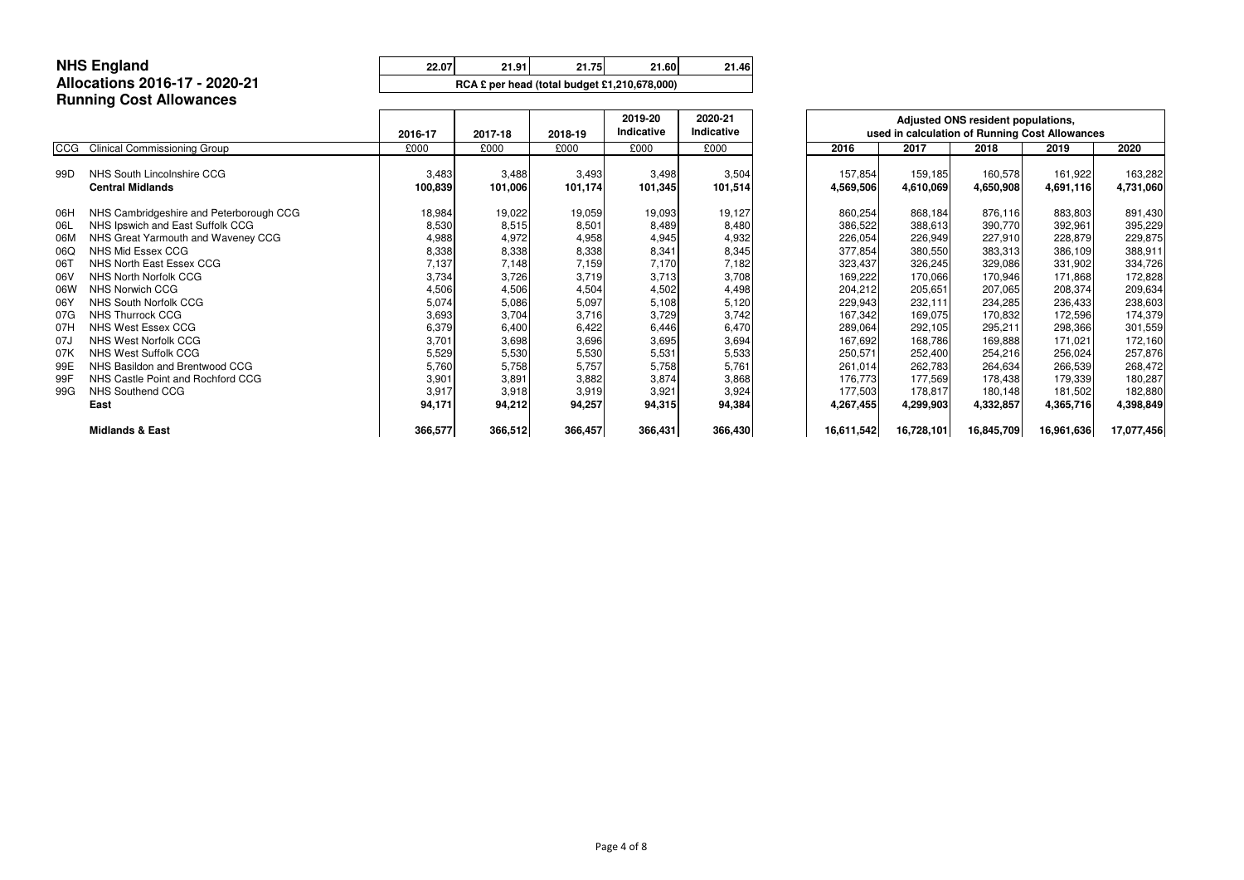# **Allocations 2016-17 - 2020-21Running Cost Allowances**

|            |                                         | 2016-17 | 2017-18 | 2018-19 | 2019-20<br>Indicative | 2020-21<br>Indicative |            | used in calculation of Running Cost Allowances | Adjusted ONS resident populations, |            |            |
|------------|-----------------------------------------|---------|---------|---------|-----------------------|-----------------------|------------|------------------------------------------------|------------------------------------|------------|------------|
| <b>CCG</b> | <b>Clinical Commissioning Group</b>     | £000    | £000    | £000    | £000                  | £000                  | 2016       | 2017                                           | 2018                               | 2019       | 2020       |
| 99D        | NHS South Lincolnshire CCG              | 3,483   | 3,488   | 3,493   | 3,498                 | 3,504                 | 157,854    | 159,185                                        | 160,578                            | 161,922    | 163,282    |
|            | <b>Central Midlands</b>                 | 100,839 | 101,006 | 101,174 | 101,345               | 101,514               | 4,569,506  | 4,610,069                                      | 4,650,908                          | 4,691,116  | 4,731,060  |
| 06H        | NHS Cambridgeshire and Peterborough CCG | 18,984  | 19,022  | 19,059  | 19,093                | 19,127                | 860,254    | 868,184                                        | 876,116                            | 883,803    | 891,430    |
| 06L        | NHS Ipswich and East Suffolk CCG        | 8,530   | 8,515   | 8,501   | 8,489                 | 8,480                 | 386,522    | 388,613                                        | 390,770                            | 392,961    | 395,229    |
| 06M        | NHS Great Yarmouth and Waveney CCG      | 4,988   | 4,972   | 4,958   | 4,945                 | 4,932                 | 226,054    | 226,949                                        | 227,910                            | 228,879    | 229,875    |
| 06Q        | NHS Mid Essex CCG                       | 8,338   | 8,338   | 8,338   | 8,341                 | 8,345                 | 377,854    | 380,550                                        | 383,313                            | 386,109    | 388,911    |
| 06T        | NHS North East Essex CCG                | 7,137   | 7,148   | 7,159   | 7,170                 | 7,182                 | 323,437    | 326,245                                        | 329,086                            | 331,902    | 334,726    |
| 06V        | NHS North Norfolk CCG                   | 3,734   | 3,726   | 3,719   | 3,713                 | 3,708                 | 169,222    | 170,066                                        | 170,946                            | 171,868    | 172,828    |
| 06W        | <b>NHS Norwich CCG</b>                  | 4,506   | 4,506   | 4,504   | 4,502                 | 4,498                 | 204,212    | 205,651                                        | 207,065                            | 208,374    | 209,634    |
| 06Y        | <b>NHS South Norfolk CCG</b>            | 5,074   | 5,086   | 5,097   | 5,108                 | 5,120                 | 229,943    | 232,111                                        | 234,285                            | 236,433    | 238,603    |
| 07G        | <b>NHS Thurrock CCG</b>                 | 3,693   | 3,704   | 3,716   | 3,729                 | 3,742                 | 167,342    | 169,075                                        | 170,832                            | 172,596    | 174,379    |
| 07H        | <b>NHS West Essex CCG</b>               | 6,379   | 6,400   | 6,422   | 6,446                 | 6,470                 | 289,064    | 292,105                                        | 295,211                            | 298,366    | 301,559    |
| 07J        | NHS West Norfolk CCG                    | 3,701   | 3,698   | 3,696   | 3,695                 | 3,694                 | 167,692    | 168,786                                        | 169,888                            | 171,021    | 172,160    |
| 07K        | <b>NHS West Suffolk CCG</b>             | 5,529   | 5,530   | 5,530   | 5,531                 | 5,533                 | 250,571    | 252,400                                        | 254,216                            | 256,024    | 257,876    |
| 99E        | NHS Basildon and Brentwood CCG          | 5,760   | 5,758   | 5,757   | 5,758                 | 5,761                 | 261,014    | 262,783                                        | 264,634                            | 266,539    | 268,472    |
| 99F        | NHS Castle Point and Rochford CCG       | 3,901   | 3,891   | 3,882   | 3,874                 | 3,868                 | 176,773    | 177,569                                        | 178,438                            | 179,339    | 180,287    |
| 99G        | <b>NHS Southend CCG</b>                 | 3,917   | 3,918   | 3,919   | 3,921                 | 3,924                 | 177,503    | 178,817                                        | 180,148                            | 181,502    | 182,880    |
|            | East                                    | 94,171  | 94,212  | 94,257  | 94,315                | 94,384                | 4,267,455  | 4,299,903                                      | 4,332,857                          | 4,365,716  | 4,398,849  |
|            | <b>Midlands &amp; East</b>              | 366,577 | 366,512 | 366,457 | 366,431               | 366,430               | 16,611,542 | 16,728,101                                     | 16,845,709                         | 16,961,636 | 17,077,456 |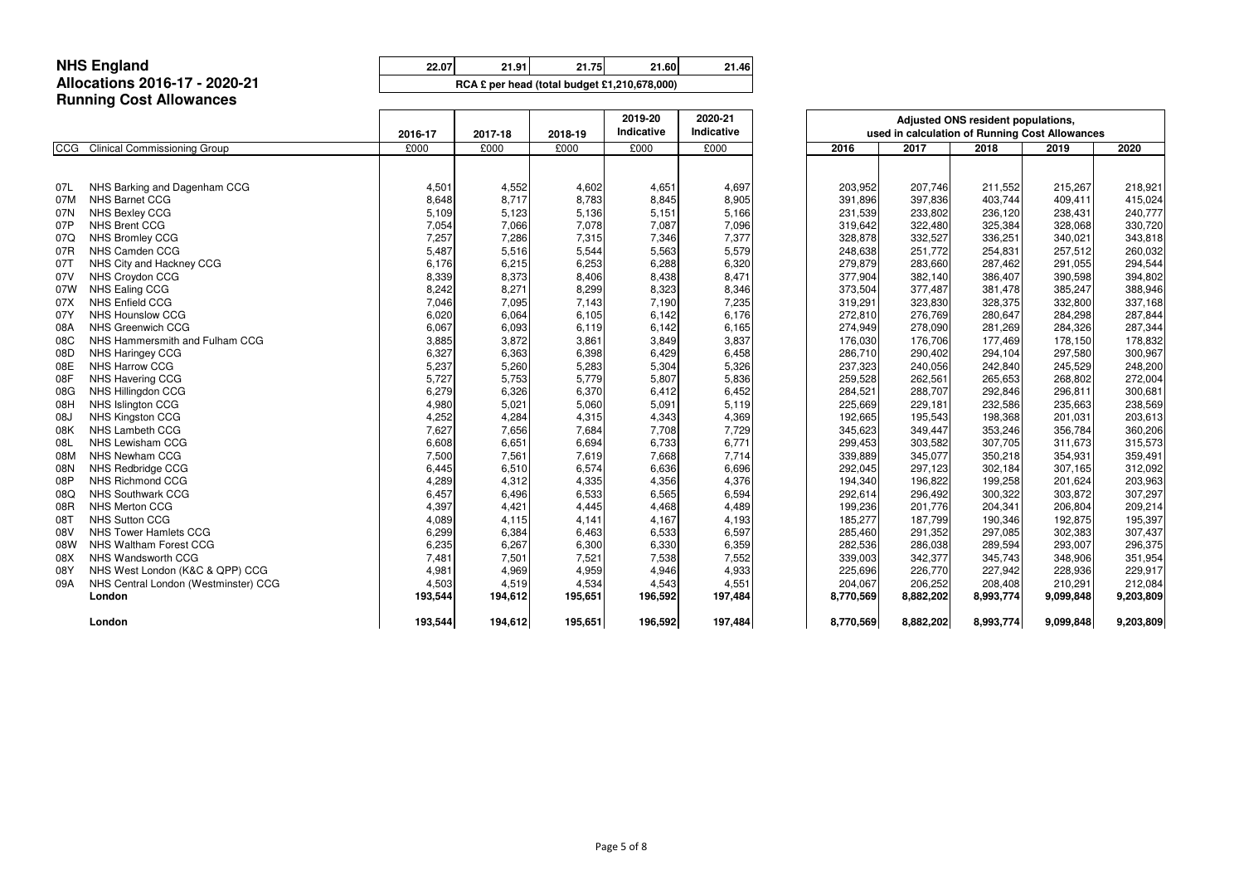## **Allocations 2016-17 - 2020-21Running Cost Allowances**

NHS England<br>
22.07 21.91 21.75 21.60 21.46

|            |                                      | 2020-21<br>2019-20<br>Indicative<br>Indicative<br>2016-17<br>2017-18<br>2018-19 |         |         |         |         |      |           | Adjusted ONS resident populations,<br>used in calculation of Running Cost Allowances |           |           |           |  |  |
|------------|--------------------------------------|---------------------------------------------------------------------------------|---------|---------|---------|---------|------|-----------|--------------------------------------------------------------------------------------|-----------|-----------|-----------|--|--|
| <b>CCG</b> | <b>Clinical Commissioning Group</b>  | £000                                                                            | £000    | £000    | £000    | £000    | 2016 |           | 2017                                                                                 | 2018      | 2019      | 2020      |  |  |
|            |                                      |                                                                                 |         |         |         |         |      |           |                                                                                      |           |           |           |  |  |
| 07L        | NHS Barking and Dagenham CCG         | 4,501                                                                           | 4,552   | 4,602   | 4,651   | 4,697   |      | 203,952   | 207,746                                                                              | 211,552   | 215,267   | 218,921   |  |  |
| 07M        | <b>NHS Barnet CCG</b>                | 8,648                                                                           | 8,717   | 8,783   | 8,845   | 8,905   |      | 391,896   | 397,836                                                                              | 403,744   | 409,411   | 415,024   |  |  |
| 07N        | NHS Bexley CCG                       | 5,109                                                                           | 5,123   | 5,136   | 5,151   | 5,166   |      | 231,539   | 233,802                                                                              | 236,120   | 238,431   | 240,777   |  |  |
| 07P        | <b>NHS Brent CCG</b>                 | 7,054                                                                           | 7,066   | 7,078   | 7,087   | 7,096   |      | 319,642   | 322,480                                                                              | 325,384   | 328,068   | 330,720   |  |  |
| 07Q        | <b>NHS Bromley CCG</b>               | 7,257                                                                           | 7,286   | 7,315   | 7,346   | 7,377   |      | 328,878   | 332,527                                                                              | 336,251   | 340,021   | 343,818   |  |  |
| 07R        | NHS Camden CCG                       | 5,487                                                                           | 5,516   | 5,544   | 5,563   | 5,579   |      | 248,638   | 251,772                                                                              | 254,831   | 257,512   | 260,032   |  |  |
| 07T        | NHS City and Hackney CCG             | 6,176                                                                           | 6,215   | 6,253   | 6,288   | 6,320   |      | 279,879   | 283,660                                                                              | 287,462   | 291,055   | 294,544   |  |  |
| 07V        | NHS Croydon CCG                      | 8,339                                                                           | 8,373   | 8,406   | 8,438   | 8,471   |      | 377,904   | 382,140                                                                              | 386,407   | 390,598   | 394,802   |  |  |
| 07W        | NHS Ealing CCG                       | 8,242                                                                           | 8,271   | 8,299   | 8,323   | 8,346   |      | 373,504   | 377,487                                                                              | 381,478   | 385,247   | 388,946   |  |  |
| 07X        | <b>NHS Enfield CCG</b>               | 7,046                                                                           | 7,095   | 7,143   | 7,190   | 7,235   |      | 319,291   | 323,830                                                                              | 328,375   | 332,800   | 337,168   |  |  |
| 07Y        | <b>NHS Hounslow CCG</b>              | 6,020                                                                           | 6,064   | 6,105   | 6,142   | 6,176   |      | 272,810   | 276,769                                                                              | 280,647   | 284,298   | 287,844   |  |  |
| 08A        | <b>NHS Greenwich CCG</b>             | 6,067                                                                           | 6,093   | 6,119   | 6,142   | 6,165   |      | 274,949   | 278,090                                                                              | 281,269   | 284,326   | 287,344   |  |  |
| 08C        | NHS Hammersmith and Fulham CCG       | 3,885                                                                           | 3,872   | 3,861   | 3,849   | 3,837   |      | 176,030   | 176,706                                                                              | 177,469   | 178,150   | 178,832   |  |  |
| 08D        | NHS Haringey CCG                     | 6,327                                                                           | 6,363   | 6,398   | 6,429   | 6,458   |      | 286,710   | 290,402                                                                              | 294,104   | 297,580   | 300,967   |  |  |
| 08E        | NHS Harrow CCG                       | 5,237                                                                           | 5,260   | 5,283   | 5,304   | 5,326   |      | 237,323   | 240,056                                                                              | 242,840   | 245,529   | 248,200   |  |  |
| 08F        | NHS Havering CCG                     | 5,727                                                                           | 5,753   | 5,779   | 5,807   | 5,836   |      | 259,528   | 262,561                                                                              | 265,653   | 268,802   | 272,004   |  |  |
| 08G        | NHS Hillingdon CCG                   | 6,279                                                                           | 6,326   | 6,370   | 6,412   | 6,452   |      | 284,521   | 288,707                                                                              | 292,846   | 296,811   | 300,681   |  |  |
| 08H        | NHS Islington CCG                    | 4,980                                                                           | 5,021   | 5,060   | 5,091   | 5,119   |      | 225,669   | 229,181                                                                              | 232,586   | 235,663   | 238,569   |  |  |
| 08J        | <b>NHS Kingston CCG</b>              | 4,252                                                                           | 4,284   | 4,315   | 4,343   | 4,369   |      | 192,665   | 195,543                                                                              | 198,368   | 201,031   | 203,613   |  |  |
| 08K        | <b>NHS Lambeth CCG</b>               | 7,627                                                                           | 7,656   | 7,684   | 7,708   | 7,729   |      | 345,623   | 349,447                                                                              | 353,246   | 356,784   | 360,206   |  |  |
| 08L        | NHS Lewisham CCG                     | 6,608                                                                           | 6,651   | 6,694   | 6,733   | 6,771   |      | 299,453   | 303,582                                                                              | 307,705   | 311,673   | 315,573   |  |  |
| 08M        | NHS Newham CCG                       | 7,500                                                                           | 7,561   | 7,619   | 7,668   | 7,714   |      | 339,889   | 345,077                                                                              | 350,218   | 354,931   | 359,491   |  |  |
| 08N        | NHS Redbridge CCG                    | 6,445                                                                           | 6,510   | 6,574   | 6,636   | 6,696   |      | 292,045   | 297,123                                                                              | 302,184   | 307,165   | 312,092   |  |  |
| 08P        | NHS Richmond CCG                     | 4,289                                                                           | 4,312   | 4,335   | 4,356   | 4,376   |      | 194,340   | 196,822                                                                              | 199,258   | 201,624   | 203,963   |  |  |
| 08Q        | <b>NHS Southwark CCG</b>             | 6,457                                                                           | 6,496   | 6,533   | 6,565   | 6,594   |      | 292,614   | 296,492                                                                              | 300,322   | 303,872   | 307,297   |  |  |
| 08R        | NHS Merton CCG                       | 4,397                                                                           | 4,421   | 4,445   | 4,468   | 4,489   |      | 199,236   | 201,776                                                                              | 204,341   | 206,804   | 209,214   |  |  |
| 08T        | <b>NHS Sutton CCG</b>                | 4,089                                                                           | 4,115   | 4,141   | 4,167   | 4,193   |      | 185,277   | 187,799                                                                              | 190,346   | 192,875   | 195,397   |  |  |
| 08V        | <b>NHS Tower Hamlets CCG</b>         | 6,299                                                                           | 6,384   | 6,463   | 6,533   | 6,597   |      | 285,460   | 291,352                                                                              | 297,085   | 302,383   | 307,437   |  |  |
| 08W        | <b>NHS Waltham Forest CCG</b>        | 6,235                                                                           | 6,267   | 6,300   | 6,330   | 6,359   |      | 282,536   | 286,038                                                                              | 289,594   | 293,007   | 296,375   |  |  |
| 08X        | NHS Wandsworth CCG                   | 7,481                                                                           | 7,501   | 7,521   | 7,538   | 7,552   |      | 339,003   | 342,377                                                                              | 345,743   | 348,906   | 351,954   |  |  |
| 08Y        | NHS West London (K&C & QPP) CCG      | 4,981                                                                           | 4,969   | 4,959   | 4,946   | 4,933   |      | 225,696   | 226,770                                                                              | 227,942   | 228,936   | 229,917   |  |  |
| 09A        | NHS Central London (Westminster) CCG | 4,503                                                                           | 4,519   | 4,534   | 4,543   | 4,551   |      | 204,067   | 206,252                                                                              | 208,408   | 210,291   | 212,084   |  |  |
|            | London                               | 193,544                                                                         | 194,612 | 195,651 | 196,592 | 197,484 |      | 8,770,569 | 8,882,202                                                                            | 8,993,774 | 9,099,848 | 9,203,809 |  |  |
|            |                                      |                                                                                 |         |         |         |         |      |           |                                                                                      |           |           |           |  |  |
|            | London                               | 193,544                                                                         | 194,612 | 195,651 | 196,592 | 197,484 |      | 8,770,569 | 8,882,202                                                                            | 8,993,774 | 9,099,848 | 9,203,809 |  |  |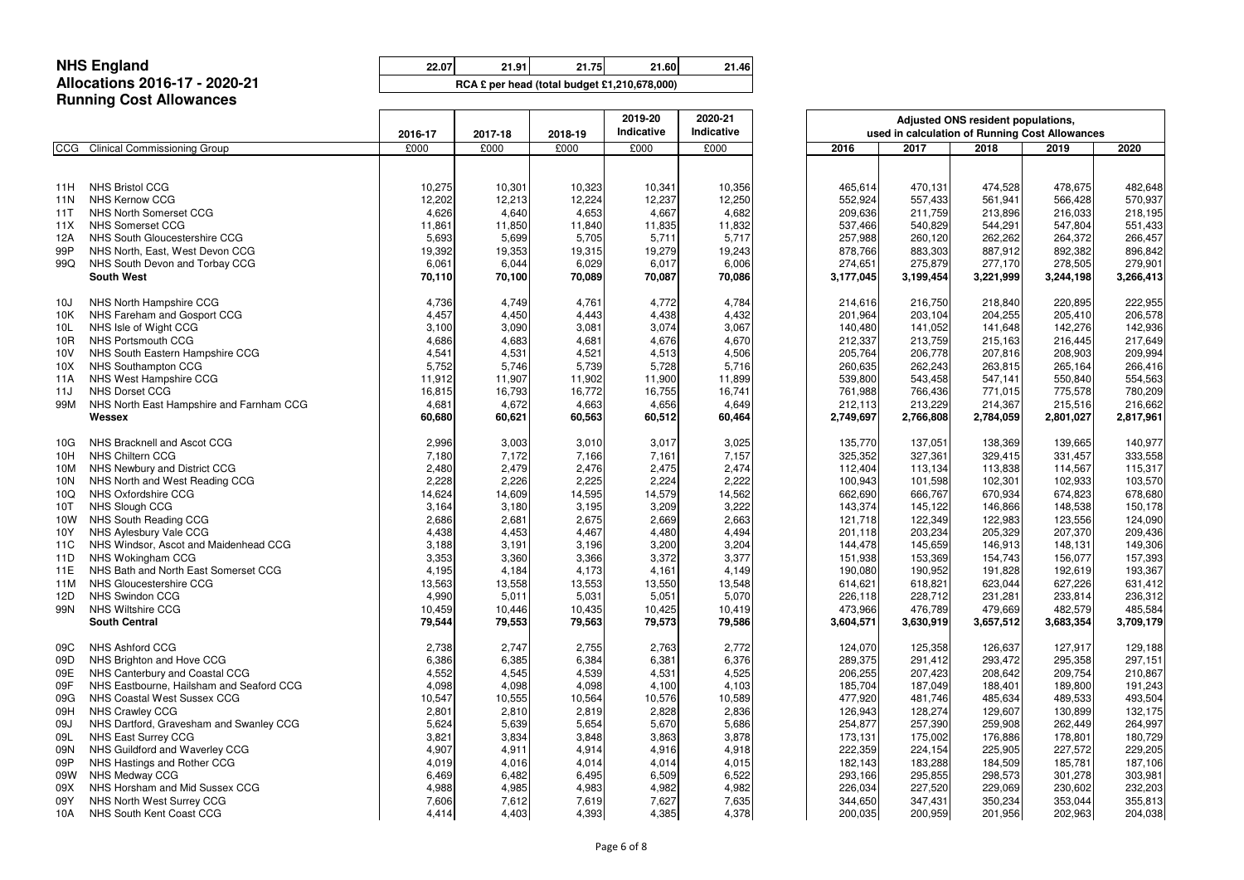**22.07 21.91 21.75 21.60 21.46 54,862,209 55,256,765 55,653,923 56,040,323 56,424,001**

### **NHS EnglandAllocations 2016-17 - 2020-21Running Cost Allowances**

|                 |                                          | 2016-17 | 2017-18 | 2018-19 | 2019-20<br>Indicative |        | Adjusted ONS resident populations,<br>used in calculation of Running Cost Allowances |           |           |           |           |  |
|-----------------|------------------------------------------|---------|---------|---------|-----------------------|--------|--------------------------------------------------------------------------------------|-----------|-----------|-----------|-----------|--|
| <b>CCG</b>      | <b>Clinical Commissioning Group</b>      | £000    | £000    | £000    | £000                  | £000   | 2016                                                                                 | 2017      | 2018      | 2019      | 2020      |  |
|                 |                                          |         |         |         |                       |        |                                                                                      |           |           |           |           |  |
| 11H             | <b>NHS Bristol CCG</b>                   | 10,275  | 10,301  | 10,323  | 10,341                | 10,356 | 465,614                                                                              | 470,131   | 474,528   | 478,675   | 482,648   |  |
| 11N             | <b>NHS Kernow CCG</b>                    | 12,202  | 12,213  | 12,224  | 12,237                | 12,250 | 552,924                                                                              | 557,433   | 561,941   | 566,428   | 570,937   |  |
| 11T             | NHS North Somerset CCG                   | 4,626   | 4,640   | 4,653   | 4,667                 | 4,682  | 209,636                                                                              | 211,759   | 213,896   | 216,033   | 218,195   |  |
| 11X             | <b>NHS Somerset CCG</b>                  | 11,861  | 11,850  | 11,840  | 11,835                | 11,832 | 537,466                                                                              | 540,829   | 544,291   | 547,804   | 551,433   |  |
| 12A             | NHS South Gloucestershire CCG            | 5,693   | 5,699   | 5,705   | 5,711                 | 5,717  | 257,988                                                                              | 260,120   | 262,262   | 264,372   | 266,457   |  |
| 99P             | NHS North, East, West Devon CCG          | 19,392  | 19,353  | 19,315  | 19,279                | 19,243 | 878,766                                                                              | 883,303   | 887,912   | 892,382   | 896,842   |  |
| 99Q             | NHS South Devon and Torbay CCG           | 6,061   | 6,044   | 6,029   | 6,017                 | 6,006  | 274,651                                                                              | 275,879   | 277,170   | 278,505   | 279,901   |  |
|                 | <b>South West</b>                        | 70,110  | 70,100  | 70,089  | 70,087                | 70,086 | 3,177,045                                                                            | 3,199,454 | 3,221,999 | 3,244,198 | 3,266,413 |  |
| 10J             | NHS North Hampshire CCG                  | 4,736   | 4,749   | 4,761   | 4,772                 | 4,784  | 214,616                                                                              | 216,750   | 218,840   | 220,895   | 222,955   |  |
| 10K             | NHS Fareham and Gosport CCG              | 4,457   | 4,450   | 4,443   | 4,438                 | 4,432  | 201,964                                                                              | 203,104   | 204,255   | 205,410   | 206,578   |  |
| 10 <sub>L</sub> | NHS Isle of Wight CCG                    | 3,100   | 3,090   | 3,081   | 3,074                 | 3,067  | 140,480                                                                              | 141,052   | 141,648   | 142,276   | 142,936   |  |
| 10R             | NHS Portsmouth CCG                       | 4,686   | 4,683   | 4,681   | 4,676                 | 4,670  | 212,337                                                                              | 213,759   | 215,163   | 216,445   | 217,649   |  |
| 10V             | NHS South Eastern Hampshire CCG          | 4,541   | 4,531   | 4,521   | 4,513                 | 4,506  | 205,764                                                                              | 206,778   | 207,816   | 208,903   | 209,994   |  |
| 10X             | NHS Southampton CCG                      | 5,752   | 5,746   | 5,739   | 5,728                 | 5,716  | 260,635                                                                              | 262,243   | 263,815   | 265,164   | 266,416   |  |
| 11A             | NHS West Hampshire CCG                   | 11,912  | 11,907  | 11,902  | 11,900                | 11,899 | 539,800                                                                              | 543,458   | 547,141   | 550,840   | 554,563   |  |
| 11J             | <b>NHS Dorset CCG</b>                    | 16,815  | 16,793  | 16,772  | 16,755                | 16,741 | 761,988                                                                              | 766,436   | 771,015   | 775,578   | 780,209   |  |
| 99M             | NHS North East Hampshire and Farnham CCG | 4,681   | 4,672   | 4,663   | 4,656                 | 4,649  | 212,113                                                                              | 213,229   | 214,367   | 215,516   | 216,662   |  |
|                 | Wessex                                   | 60,680  | 60,621  | 60,563  | 60,512                | 60,464 | 2,749,697                                                                            | 2,766,808 | 2,784,059 | 2,801,027 | 2,817,961 |  |
| 10G             | NHS Bracknell and Ascot CCG              | 2,996   | 3,003   | 3,010   | 3,017                 | 3,025  | 135,770                                                                              | 137,051   | 138,369   | 139,665   | 140,977   |  |
| 10H             | NHS Chiltern CCG                         | 7,180   | 7,172   | 7,166   | 7,161                 | 7,157  | 325,352                                                                              | 327,361   | 329,415   | 331,457   | 333,558   |  |
| 10M             | NHS Newbury and District CCG             | 2,480   | 2,479   | 2,476   | 2,475                 | 2,474  | 112,404                                                                              | 113,134   | 113,838   | 114,567   | 115,317   |  |
| 10N             | NHS North and West Reading CCG           | 2,228   | 2,226   | 2,225   | 2,224                 | 2,222  | 100,943                                                                              | 101,598   | 102,301   | 102,933   | 103,570   |  |
| 10Q             | NHS Oxfordshire CCG                      | 14,624  | 14,609  | 14,595  | 14,579                | 14,562 | 662,690                                                                              | 666,767   | 670,934   | 674,823   | 678,680   |  |
| 10T             | NHS Slough CCG                           | 3,164   | 3,180   | 3,195   | 3,209                 | 3,222  | 143,374                                                                              | 145,122   | 146,866   | 148,538   | 150,178   |  |
| 10W             | NHS South Reading CCG                    | 2,686   | 2,681   | 2,675   | 2,669                 | 2,663  | 121,718                                                                              | 122,349   | 122,983   | 123,556   | 124,090   |  |
| 10Y             | NHS Aylesbury Vale CCG                   | 4,438   | 4,453   | 4,467   | 4,480                 | 4,494  | 201,118                                                                              | 203,234   | 205,329   | 207,370   | 209,436   |  |
| 11C             | NHS Windsor, Ascot and Maidenhead CCG    | 3,188   | 3,191   | 3,196   | 3,200                 | 3,204  | 144,478                                                                              | 145,659   | 146,913   | 148,131   | 149,306   |  |
| 11D             | NHS Wokingham CCG                        | 3,353   | 3,360   | 3,366   | 3,372                 | 3,377  | 151,938                                                                              | 153,369   | 154,743   | 156,077   | 157,393   |  |
| 11E             | NHS Bath and North East Somerset CCG     | 4,195   | 4,184   | 4,173   | 4,161                 | 4,149  | 190,080                                                                              | 190,952   | 191,828   | 192,619   | 193,367   |  |
| 11M             | NHS Gloucestershire CCG                  | 13,563  | 13,558  | 13,553  | 13,550                | 13,548 | 614,621                                                                              | 618,821   | 623,044   | 627,226   | 631,412   |  |
| 12D             | <b>NHS Swindon CCG</b>                   | 4,990   | 5,011   | 5,031   | 5,051                 | 5,070  | 226,118                                                                              | 228,712   | 231,281   | 233,814   | 236,312   |  |
| 99N             | NHS Wiltshire CCG                        | 10,459  | 10,446  | 10,435  | 10,425                | 10,419 | 473,966                                                                              | 476,789   | 479,669   | 482,579   | 485,584   |  |
|                 | <b>South Central</b>                     | 79,544  | 79,553  | 79,563  | 79,573                | 79,586 | 3,604,571                                                                            | 3,630,919 | 3,657,512 | 3,683,354 | 3,709,179 |  |
| 09C             | NHS Ashford CCG                          | 2,738   | 2,747   | 2,755   | 2,763                 | 2,772  | 124,070                                                                              | 125,358   | 126,637   | 127,917   | 129,188   |  |
| 09D             | NHS Brighton and Hove CCG                | 6,386   | 6,385   | 6,384   | 6,381                 | 6,376  | 289,375                                                                              | 291,412   | 293,472   | 295,358   | 297,151   |  |
| 09E             | NHS Canterbury and Coastal CCG           | 4,552   | 4,545   | 4,539   | 4,531                 | 4,525  | 206,255                                                                              | 207,423   | 208,642   | 209,754   | 210,867   |  |
| 09F             | NHS Eastbourne, Hailsham and Seaford CCG | 4,098   | 4,098   | 4,098   | 4,100                 | 4,103  | 185,704                                                                              | 187,049   | 188,401   | 189,800   | 191,243   |  |
| 09G             | NHS Coastal West Sussex CCG              | 10,547  | 10,555  | 10,564  | 10,576                | 10,589 | 477,920                                                                              | 481,746   | 485,634   | 489,533   | 493,504   |  |
| 09H             | NHS Crawley CCG                          | 2,801   | 2,810   | 2,819   | 2,828                 | 2,836  | 126,943                                                                              | 128,274   | 129,607   | 130,899   | 132,175   |  |
| 09J             | NHS Dartford, Gravesham and Swanley CCG  | 5,624   | 5,639   | 5,654   | 5,670                 | 5,686  | 254,877                                                                              | 257,390   | 259,908   | 262,449   | 264,997   |  |
| 09L             | NHS East Surrey CCG                      | 3,821   | 3,834   | 3,848   | 3,863                 | 3,878  | 173,131                                                                              | 175,002   | 176,886   | 178,801   | 180,729   |  |
| 09N             | NHS Guildford and Waverley CCG           | 4,907   | 4,911   | 4,914   | 4,916                 | 4,918  | 222,359                                                                              | 224,154   | 225,905   | 227,572   | 229,205   |  |
| 09P             | NHS Hastings and Rother CCG              | 4,019   | 4,016   | 4,014   | 4,014                 | 4,015  | 182,143                                                                              | 183,288   | 184,509   | 185,781   | 187,106   |  |
| 09W             | NHS Medway CCG                           | 6,469   | 6,482   | 6,495   | 6,509                 | 6,522  | 293,166                                                                              | 295,855   | 298,573   | 301,278   | 303,981   |  |
| 09X             | NHS Horsham and Mid Sussex CCG           | 4,988   | 4,985   | 4,983   | 4,982                 | 4,982  | 226,034                                                                              | 227,520   | 229,069   | 230,602   | 232,203   |  |
| 09Y             | NHS North West Surrey CCG                | 7,606   | 7,612   | 7,619   | 7,627                 | 7,635  | 344,650                                                                              | 347,431   | 350,234   | 353,044   | 355,813   |  |
| 10A             | NHS South Kent Coast CCG                 | 4,414   | 4,403   | 4,393   | 4,385                 | 4,378  | 200,035                                                                              | 200,959   | 201,956   | 202,963   | 204,038   |  |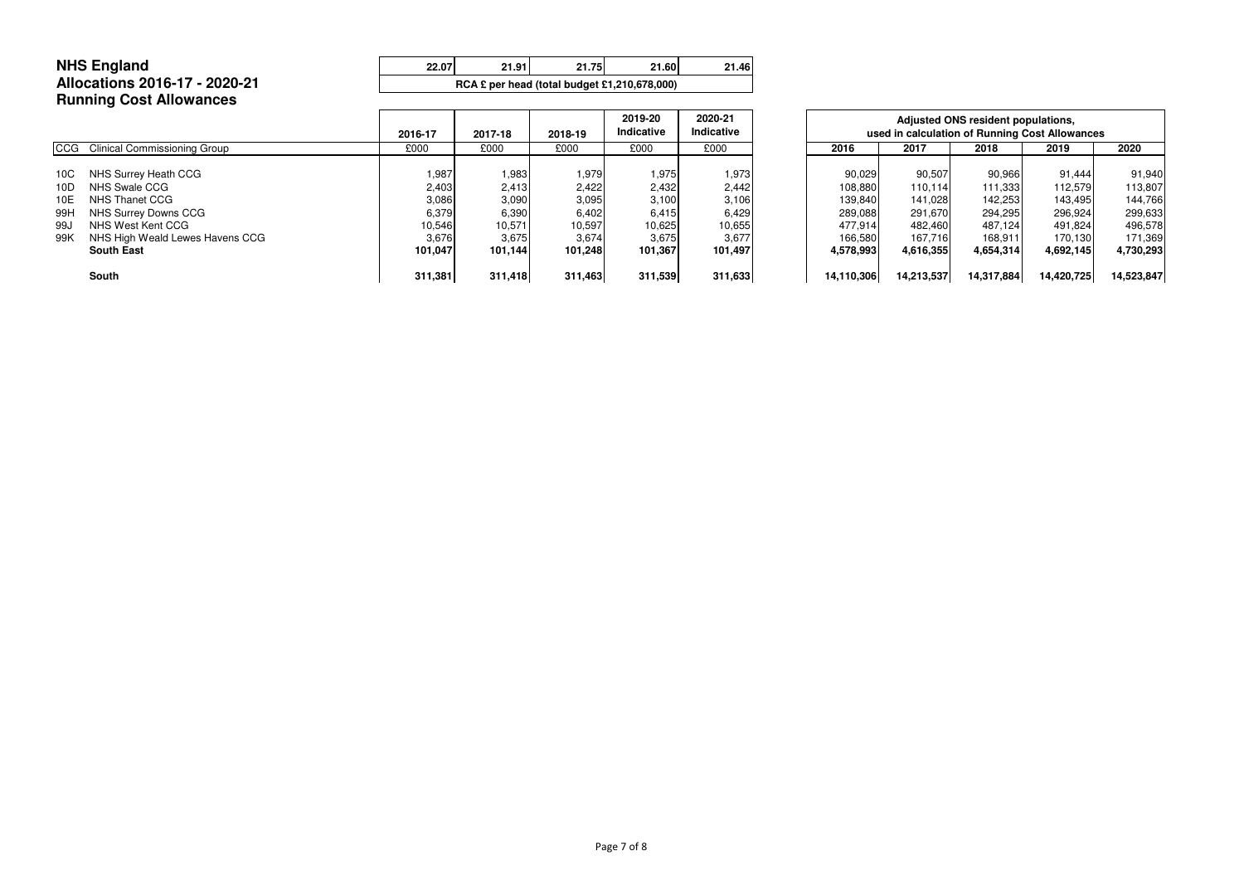| RCA $\epsilon$ per head (total budget £1,210,678,000) | <b>NHS England</b>             | 22.07 | 21.91 | 21.75 | 21.60 | 21.46 |  |  |  |
|-------------------------------------------------------|--------------------------------|-------|-------|-------|-------|-------|--|--|--|
|                                                       | Allocations 2016-17 - 2020-21  |       |       |       |       |       |  |  |  |
|                                                       | <b>Running Cost Allowances</b> |       |       |       |       |       |  |  |  |

|                   |                                                                              | 2016-17                  | 2017-18                  | 2018-19                  | 2019-20<br>Indicative   | 2020-21<br>Indicative    |            | Adjusted ONS resident populations,<br>used in calculation of Running Cost Allowances |                               |                    |                               |                               |  |
|-------------------|------------------------------------------------------------------------------|--------------------------|--------------------------|--------------------------|-------------------------|--------------------------|------------|--------------------------------------------------------------------------------------|-------------------------------|--------------------|-------------------------------|-------------------------------|--|
|                   | CCG Clinical Commissioning Group                                             | £000                     | £000                     | £000                     | £000                    | £000                     | 2016       |                                                                                      | 2017                          | 2018               | 2019                          | 2020                          |  |
| 10C               | NHS Surrey Heath CCG<br>NHS Swale CCG                                        | 1,987                    | 1,983                    | 1,979                    | 1,975                   | 1,973                    |            | 90,029<br>108,880                                                                    | 90,507                        | 90,966<br>111,333  | 91,444                        | 91,940<br>113,807             |  |
| 10D<br>10E<br>99H | NHS Thanet CCG                                                               | 2,403<br>3,086           | 2,413<br>3,090           | 2,422<br>3,095           | 2,432<br>3,100<br>6,415 | 2,442<br>3,106           |            | 139,840<br>289,088                                                                   | 110,114<br>141,028<br>291,670 | 142,253<br>294,295 | 112,579<br>143,495<br>296,924 | 144,766                       |  |
| 99J<br>99K        | NHS Surrey Downs CCG<br>NHS West Kent CCG<br>NHS High Weald Lewes Havens CCG | 6,379<br>10,546<br>3,676 | 6,390<br>10,571<br>3,675 | 6,402<br>10,597<br>3,674 | 10,625<br>3,675         | 6,429<br>10,655<br>3,677 |            | 477,914<br>166,580                                                                   | 482,460<br>167,716            | 487,124<br>168,911 | 491,824<br>170,130            | 299,633<br>496,578<br>171,369 |  |
|                   | <b>South East</b>                                                            | 101,047                  | 101,144                  | 101,248                  | 101,367                 | 101,497                  | 4,578,993  |                                                                                      | 4,616,355                     | 4,654,314          | 4,692,145                     | 4,730,293                     |  |
|                   | South                                                                        | 311,381                  | 311,418                  | 311,463                  | 311,539                 | 311,633                  | 14,110,306 |                                                                                      | 14,213,537                    | 14,317,884         | 14,420,725                    | 14,523,847                    |  |

|    | 2017-18 | 2018-19 | 2019-20<br>Indicative | 2020-21<br><b>Indicative</b> |            | Adjusted ONS resident populations,<br>used in calculation of Running Cost Allowances |            |            |            |  |  |  |  |  |  |  |
|----|---------|---------|-----------------------|------------------------------|------------|--------------------------------------------------------------------------------------|------------|------------|------------|--|--|--|--|--|--|--|
|    | £000    | £000    | £000                  | £000                         | 2016       | 2017                                                                                 | 2018       | 2019       | 2020       |  |  |  |  |  |  |  |
|    | 1,983   | 1,979   | 1,975                 | 1,973                        | 90,029     | 90,507                                                                               | 90,966     | 91,444     | 91,940     |  |  |  |  |  |  |  |
| ЗI | 2,413   | 2,422   | 2,432                 | 2,442                        | 108,880    | 110,114                                                                              | 111,333    | 112,579    | 113,807    |  |  |  |  |  |  |  |
| 61 | 3,090   | 3,095   | 3,100                 | 3,106                        | 139,840    | 141,028                                                                              | 142,253    | 143,495    | 144,766    |  |  |  |  |  |  |  |
| 91 | 6,390   | 6,402   | 6,415                 | 6,429                        | 289,088    | 291,670                                                                              | 294,295    | 296,924    | 299,633    |  |  |  |  |  |  |  |
| 61 | 10,571  | 10,597  | 10,625                | 10,655                       | 477,914    | 482,460                                                                              | 487.124    | 491,824    | 496,578    |  |  |  |  |  |  |  |
| 61 | 3,675   | 3,674   | 3,675                 | 3,677                        | 166,580    | 167,716                                                                              | 168,911    | 170.130    | 171,369    |  |  |  |  |  |  |  |
|    | 101,144 | 101,248 | 101,367               | 101,497                      | 4,578,993  | 4,616,355                                                                            | 4,654,314  | 4,692,145  | 4,730,293  |  |  |  |  |  |  |  |
| 1  | 311,418 | 311,463 | 311,539               | 311,633                      | 14,110,306 | 14,213,537                                                                           | 14,317,884 | 14,420,725 | 14,523,847 |  |  |  |  |  |  |  |